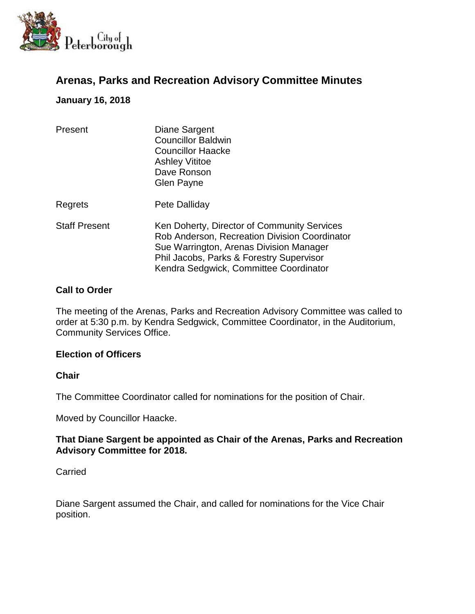

# **Arenas, Parks and Recreation Advisory Committee Minutes**

# **January 16, 2018**

| Present              | Diane Sargent<br><b>Councillor Baldwin</b><br><b>Councillor Haacke</b><br><b>Ashley Vititoe</b><br>Dave Ronson<br>Glen Payne                                                                                                  |
|----------------------|-------------------------------------------------------------------------------------------------------------------------------------------------------------------------------------------------------------------------------|
| Regrets              | Pete Dalliday                                                                                                                                                                                                                 |
| <b>Staff Present</b> | Ken Doherty, Director of Community Services<br>Rob Anderson, Recreation Division Coordinator<br>Sue Warrington, Arenas Division Manager<br>Phil Jacobs, Parks & Forestry Supervisor<br>Kendra Sedgwick, Committee Coordinator |

# **Call to Order**

The meeting of the Arenas, Parks and Recreation Advisory Committee was called to order at 5:30 p.m. by Kendra Sedgwick, Committee Coordinator, in the Auditorium, Community Services Office.

# **Election of Officers**

# **Chair**

The Committee Coordinator called for nominations for the position of Chair.

Moved by Councillor Haacke.

# **That Diane Sargent be appointed as Chair of the Arenas, Parks and Recreation Advisory Committee for 2018.**

# **Carried**

Diane Sargent assumed the Chair, and called for nominations for the Vice Chair position.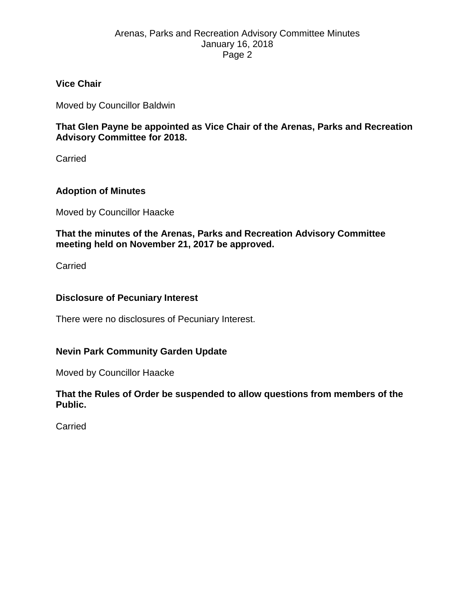# Arenas, Parks and Recreation Advisory Committee Minutes January 16, 2018 Page 2

# **Vice Chair**

Moved by Councillor Baldwin

**That Glen Payne be appointed as Vice Chair of the Arenas, Parks and Recreation Advisory Committee for 2018.**

Carried

# **Adoption of Minutes**

Moved by Councillor Haacke

**That the minutes of the Arenas, Parks and Recreation Advisory Committee meeting held on November 21, 2017 be approved.**

Carried

#### **Disclosure of Pecuniary Interest**

There were no disclosures of Pecuniary Interest.

# **Nevin Park Community Garden Update**

Moved by Councillor Haacke

**That the Rules of Order be suspended to allow questions from members of the Public.**

Carried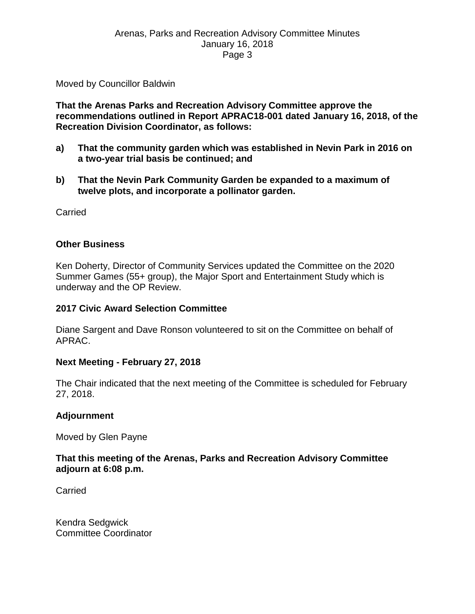# Arenas, Parks and Recreation Advisory Committee Minutes January 16, 2018 Page 3

Moved by Councillor Baldwin

**That the Arenas Parks and Recreation Advisory Committee approve the recommendations outlined in Report APRAC18-001 dated January 16, 2018, of the Recreation Division Coordinator, as follows:**

- **a) That the community garden which was established in Nevin Park in 2016 on a two-year trial basis be continued; and**
- **b) That the Nevin Park Community Garden be expanded to a maximum of twelve plots, and incorporate a pollinator garden.**

Carried

#### **Other Business**

Ken Doherty, Director of Community Services updated the Committee on the 2020 Summer Games (55+ group), the Major Sport and Entertainment Study which is underway and the OP Review.

#### **2017 Civic Award Selection Committee**

Diane Sargent and Dave Ronson volunteered to sit on the Committee on behalf of APRAC.

#### **Next Meeting - February 27, 2018**

The Chair indicated that the next meeting of the Committee is scheduled for February 27, 2018.

#### **Adjournment**

Moved by Glen Payne

#### **That this meeting of the Arenas, Parks and Recreation Advisory Committee adjourn at 6:08 p.m.**

Carried

Kendra Sedgwick Committee Coordinator